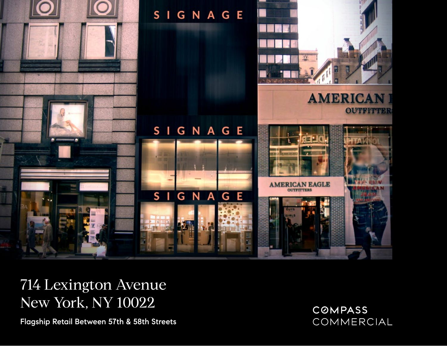

## 714 Lexington Avenue New York, NY 10022

Flagship Retail Between 57th & 58th Streets

**COMPASS** COMMERCIAL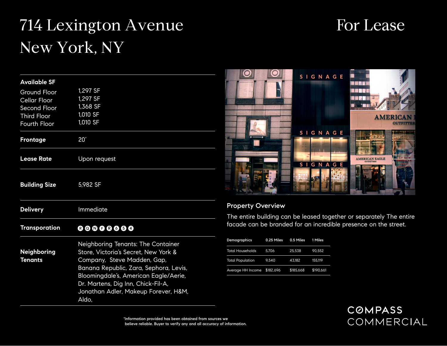# 714 Lexington Avenue New York, NY

| <b>Available SF</b>                                                                                                                                                                                                                                                                                                  |                                                          |  |  |
|----------------------------------------------------------------------------------------------------------------------------------------------------------------------------------------------------------------------------------------------------------------------------------------------------------------------|----------------------------------------------------------|--|--|
| <b>Ground Floor</b><br><b>Cellar Floor</b><br>Second Floor<br><b>Third Floor</b><br>Fourth Floor                                                                                                                                                                                                                     | 1,297 SF<br>1,297 SF<br>1,368 SF<br>1,010 SF<br>1,010 SF |  |  |
| <b>Frontage</b>                                                                                                                                                                                                                                                                                                      | 20'                                                      |  |  |
| <b>Lease Rate</b>                                                                                                                                                                                                                                                                                                    | Upon request                                             |  |  |
| <b>Building Size</b>                                                                                                                                                                                                                                                                                                 | 5,982 SF                                                 |  |  |
| <b>Delivery</b>                                                                                                                                                                                                                                                                                                      | Immediate                                                |  |  |
| <b>Transporation</b>                                                                                                                                                                                                                                                                                                 |                                                          |  |  |
| Neighboring Tenants: The Container<br>Store, Victoria's Secret, New York &<br>Neighboring<br><b>Tenants</b><br>Company, Steve Madden, Gap,<br>Banana Republic, Zara, Sephora, Levis,<br>Bloomingdale's, American Eagle/Aerie,<br>Dr. Martens, Dig Inn, Chick-Fil-A,<br>Jonathan Adler, Makeup Forever, H&M,<br>Aldo, |                                                          |  |  |

## SIGNAGE **RENE**

For Lease



#### Property Overview

 $\mathbf C$ 

The entire building can be leased together or separately The entire facade can be branded for an incredible presence on the street.

| Demographics            | 0.25 Miles | 0.5 Miles | 1 Miles   |
|-------------------------|------------|-----------|-----------|
| <b>Total Households</b> | 5.706      | 25,538    | 90.552    |
| <b>Total Population</b> | 9.540      | 43.182    | 155,119   |
| Average HH Income       | \$182,696  | \$185.668 | \$190.661 |

**COMPASS** COMMERCIAL

\* Information provided has been obtained from sources we believe reliable. Buyer to verify any and all accuracy of information.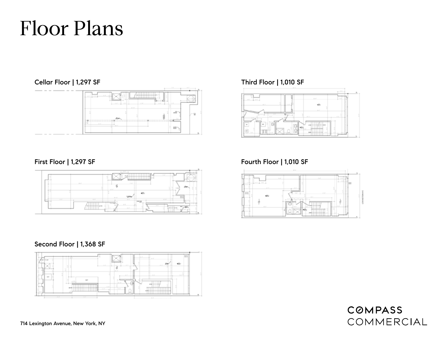# Floor Plans



#### First Floor | 1,297 SF



#### Second Floor | 1,368 SF



### Third Floor | 1,010 SF



#### Fourth Floor | 1,010 SF